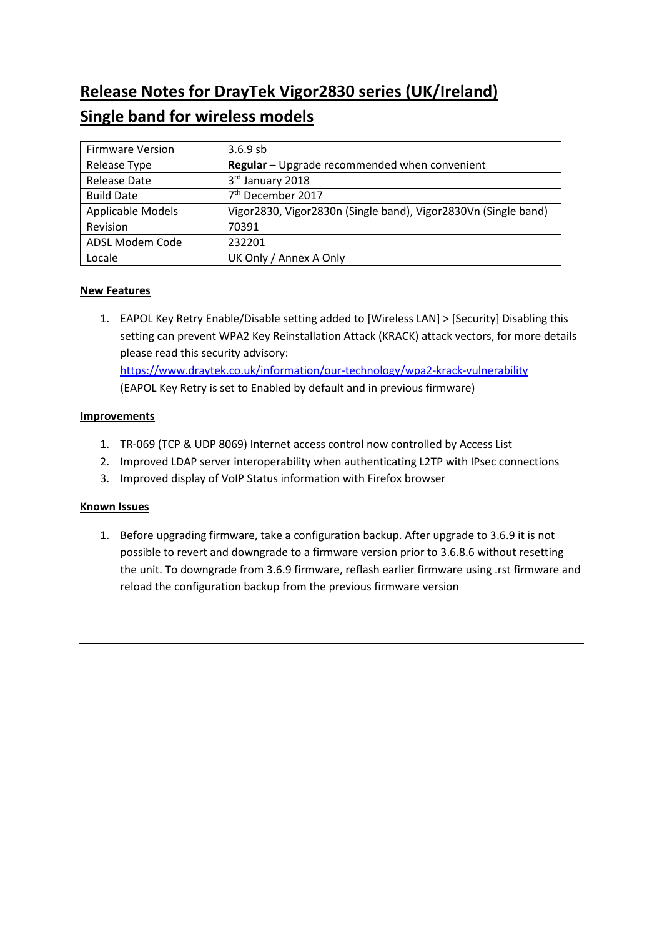# **Release Notes for DrayTek Vigor2830 series (UK/Ireland) Single band for wireless models**

| <b>Firmware Version</b> | $3.6.9$ sb                                                     |
|-------------------------|----------------------------------------------------------------|
| Release Type            | <b>Regular</b> – Upgrade recommended when convenient           |
| <b>Release Date</b>     | 3rd January 2018                                               |
| <b>Build Date</b>       | 7 <sup>th</sup> December 2017                                  |
| Applicable Models       | Vigor2830, Vigor2830n (Single band), Vigor2830Vn (Single band) |
| Revision                | 70391                                                          |
| ADSL Modem Code         | 232201                                                         |
| Locale                  | UK Only / Annex A Only                                         |

# **New Features**

1. EAPOL Key Retry Enable/Disable setting added to [Wireless LAN] > [Security] Disabling this setting can prevent WPA2 Key Reinstallation Attack (KRACK) attack vectors, for more details please read this security advisory: https://www.draytek.co.uk/information/our-technology/wpa2-krack-vulnerability (EAPOL Key Retry is set to Enabled by default and in previous firmware)

# **Improvements**

- 1. TR-069 (TCP & UDP 8069) Internet access control now controlled by Access List
- 2. Improved LDAP server interoperability when authenticating L2TP with IPsec connections
- 3. Improved display of VoIP Status information with Firefox browser

# **Known Issues**

1. Before upgrading firmware, take a configuration backup. After upgrade to 3.6.9 it is not possible to revert and downgrade to a firmware version prior to 3.6.8.6 without resetting the unit. To downgrade from 3.6.9 firmware, reflash earlier firmware using .rst firmware and reload the configuration backup from the previous firmware version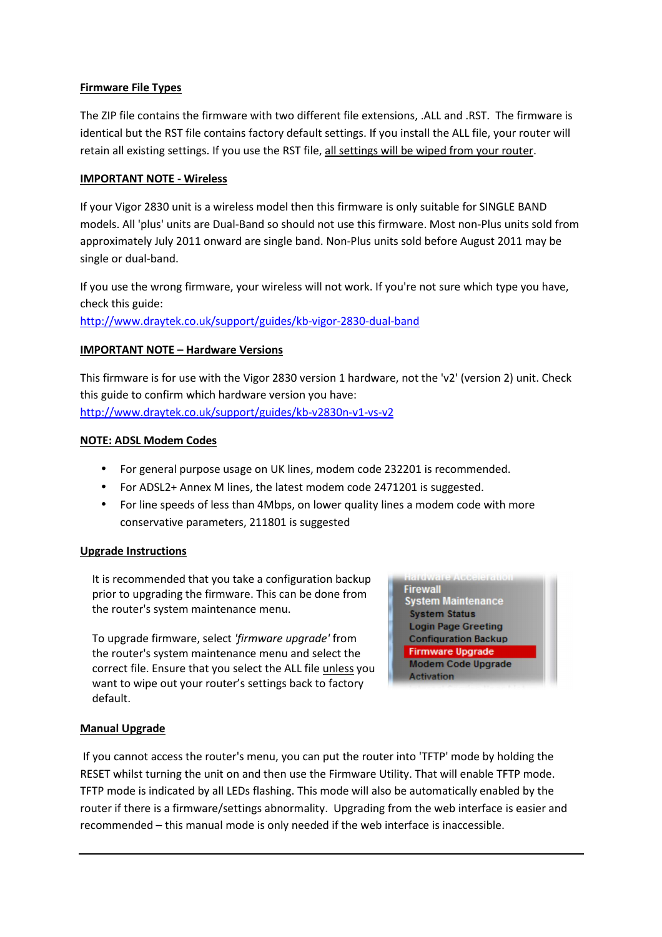### **Firmware File Types**

The ZIP file contains the firmware with two different file extensions, .ALL and .RST. The firmware is identical but the RST file contains factory default settings. If you install the ALL file, your router will retain all existing settings. If you use the RST file, all settings will be wiped from your router.

#### **IMPORTANT NOTE - Wireless**

If your Vigor 2830 unit is a wireless model then this firmware is only suitable for SINGLE BAND models. All 'plus' units are Dual-Band so should not use this firmware. Most non-Plus units sold from approximately July 2011 onward are single band. Non-Plus units sold before August 2011 may be single or dual-band.

If you use the wrong firmware, your wireless will not work. If you're not sure which type you have, check this guide:

http://www.draytek.co.uk/support/guides/kb-vigor-2830-dual-band

# **IMPORTANT NOTE – Hardware Versions**

This firmware is for use with the Vigor 2830 version 1 hardware, not the 'v2' (version 2) unit. Check this guide to confirm which hardware version you have: http://www.draytek.co.uk/support/guides/kb-v2830n-v1-vs-v2

#### **NOTE: ADSL Modem Codes**

- For general purpose usage on UK lines, modem code 232201 is recommended.
- For ADSL2+ Annex M lines, the latest modem code 2471201 is suggested.
- For line speeds of less than 4Mbps, on lower quality lines a modem code with more conservative parameters, 211801 is suggested

#### **Upgrade Instructions**

It is recommended that you take a configuration backup prior to upgrading the firmware. This can be done from the router's system maintenance menu.

To upgrade firmware, select *'firmware upgrade'* from the router's system maintenance menu and select the correct file. Ensure that you select the ALL file unless you want to wipe out your router's settings back to factory default.

**Firewall System Maintenance System Status Login Page Greeting Configuration Backup Firmware Upgrade Modem Code Upgrade Activation** 

#### **Manual Upgrade**

 If you cannot access the router's menu, you can put the router into 'TFTP' mode by holding the RESET whilst turning the unit on and then use the Firmware Utility. That will enable TFTP mode. TFTP mode is indicated by all LEDs flashing. This mode will also be automatically enabled by the router if there is a firmware/settings abnormality. Upgrading from the web interface is easier and recommended – this manual mode is only needed if the web interface is inaccessible.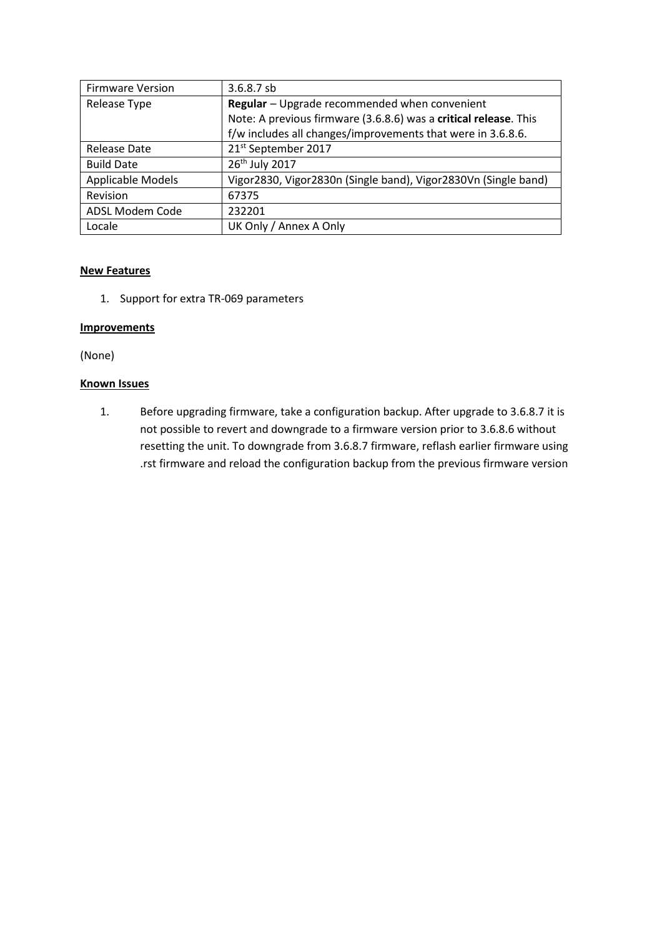| <b>Firmware Version</b>  | $3.6.8.7$ sb                                                     |
|--------------------------|------------------------------------------------------------------|
| Release Type             | Regular - Upgrade recommended when convenient                    |
|                          | Note: A previous firmware (3.6.8.6) was a critical release. This |
|                          | f/w includes all changes/improvements that were in 3.6.8.6.      |
| Release Date             | 21st September 2017                                              |
| <b>Build Date</b>        | 26 <sup>th</sup> July 2017                                       |
| <b>Applicable Models</b> | Vigor2830, Vigor2830n (Single band), Vigor2830Vn (Single band)   |
| Revision                 | 67375                                                            |
| ADSL Modem Code          | 232201                                                           |
| Locale                   | UK Only / Annex A Only                                           |

1. Support for extra TR-069 parameters

#### **Improvements**

(None)

#### **Known Issues**

1. Before upgrading firmware, take a configuration backup. After upgrade to 3.6.8.7 it is not possible to revert and downgrade to a firmware version prior to 3.6.8.6 without resetting the unit. To downgrade from 3.6.8.7 firmware, reflash earlier firmware using .rst firmware and reload the configuration backup from the previous firmware version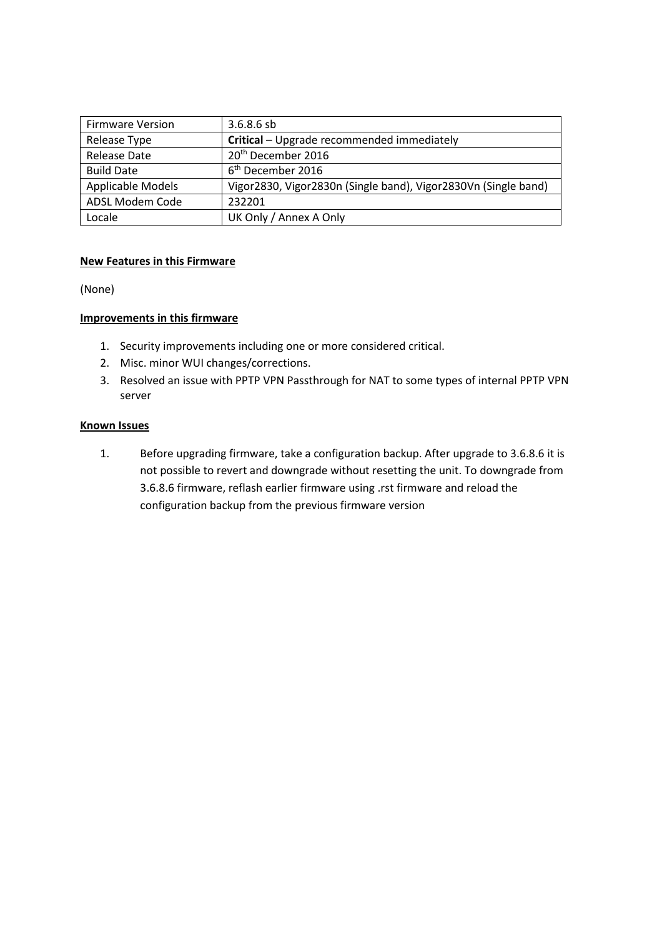| <b>Firmware Version</b> | $3.6.8.6$ sb                                                   |
|-------------------------|----------------------------------------------------------------|
| Release Type            | Critical - Upgrade recommended immediately                     |
| Release Date            | 20 <sup>th</sup> December 2016                                 |
| <b>Build Date</b>       | $6th$ December 2016                                            |
| Applicable Models       | Vigor2830, Vigor2830n (Single band), Vigor2830Vn (Single band) |
| ADSL Modem Code         | 232201                                                         |
| Locale                  | UK Only / Annex A Only                                         |

#### **New Features in this Firmware**

(None)

#### **Improvements in this firmware**

- 1. Security improvements including one or more considered critical.
- 2. Misc. minor WUI changes/corrections.
- 3. Resolved an issue with PPTP VPN Passthrough for NAT to some types of internal PPTP VPN server

#### **Known Issues**

1. Before upgrading firmware, take a configuration backup. After upgrade to 3.6.8.6 it is not possible to revert and downgrade without resetting the unit. To downgrade from 3.6.8.6 firmware, reflash earlier firmware using .rst firmware and reload the configuration backup from the previous firmware version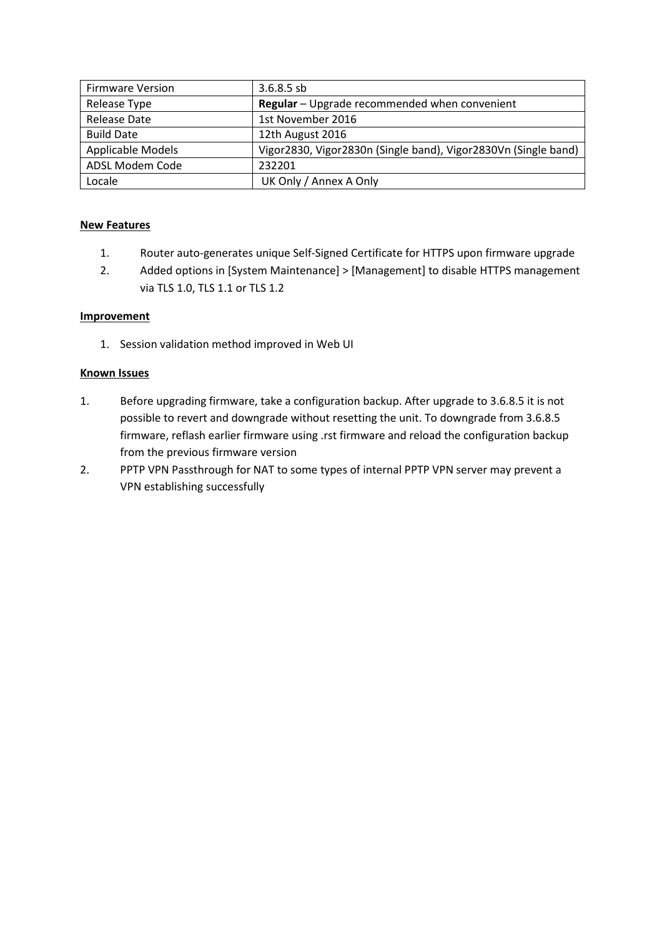| <b>Firmware Version</b> | $3.6.8.5$ sb                                                   |
|-------------------------|----------------------------------------------------------------|
| Release Type            | Regular - Upgrade recommended when convenient                  |
| Release Date            | 1st November 2016                                              |
| <b>Build Date</b>       | 12th August 2016                                               |
| Applicable Models       | Vigor2830, Vigor2830n (Single band), Vigor2830Vn (Single band) |
| ADSL Modem Code         | 232201                                                         |
| Locale                  | UK Only / Annex A Only                                         |

- 1. Router auto-generates unique Self-Signed Certificate for HTTPS upon firmware upgrade
- 2. Added options in [System Maintenance] > [Management] to disable HTTPS management via TLS 1.0, TLS 1.1 or TLS 1.2

#### **Improvement**

1. Session validation method improved in Web UI

#### **Known Issues**

- 1. Before upgrading firmware, take a configuration backup. After upgrade to 3.6.8.5 it is not possible to revert and downgrade without resetting the unit. To downgrade from 3.6.8.5 firmware, reflash earlier firmware using .rst firmware and reload the configuration backup from the previous firmware version
- 2. PPTP VPN Passthrough for NAT to some types of internal PPTP VPN server may prevent a VPN establishing successfully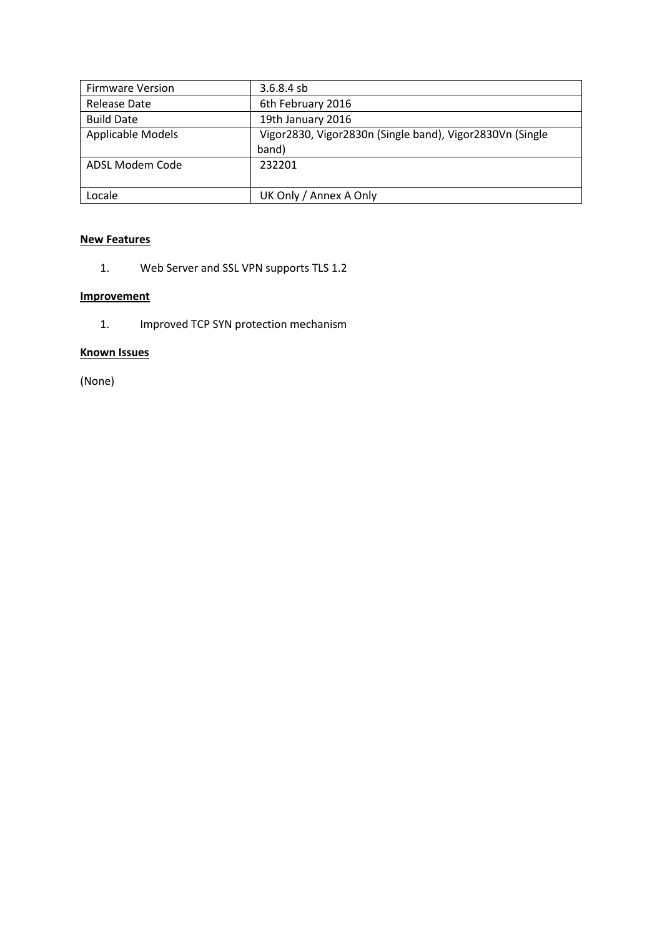| <b>Firmware Version</b> | $3.6.8.4$ sb                                             |
|-------------------------|----------------------------------------------------------|
| Release Date            | 6th February 2016                                        |
| <b>Build Date</b>       | 19th January 2016                                        |
| Applicable Models       | Vigor2830, Vigor2830n (Single band), Vigor2830Vn (Single |
|                         | band)                                                    |
| ADSL Modem Code         | 232201                                                   |
|                         |                                                          |
| Locale                  | UK Only / Annex A Only                                   |

1. Web Server and SSL VPN supports TLS 1.2

# **Improvement**

1. Improved TCP SYN protection mechanism

# **Known Issues**

(None)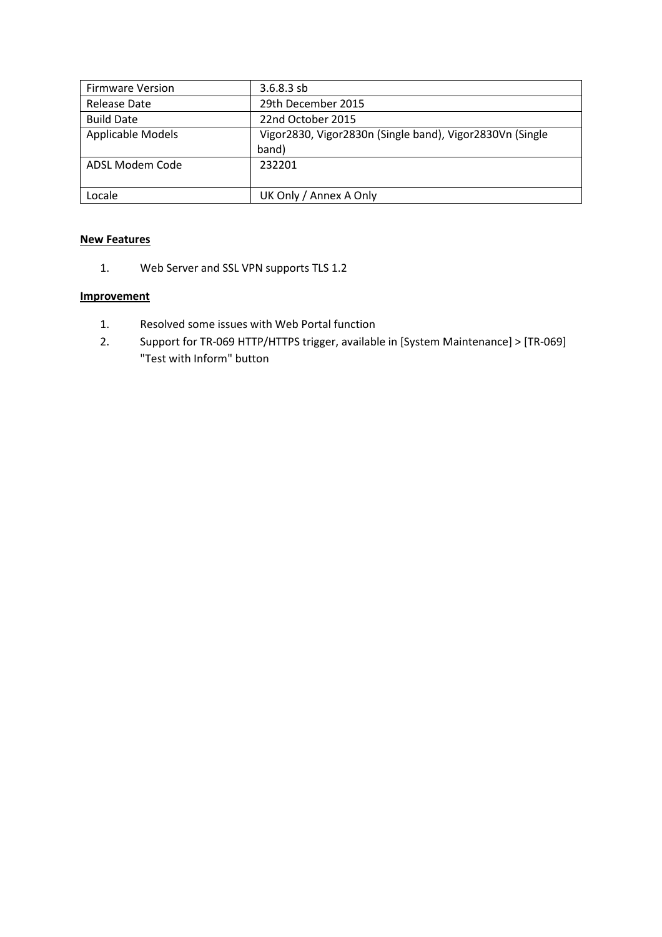| <b>Firmware Version</b> | $3.6.8.3$ sb                                             |
|-------------------------|----------------------------------------------------------|
| Release Date            | 29th December 2015                                       |
| <b>Build Date</b>       | 22nd October 2015                                        |
| Applicable Models       | Vigor2830, Vigor2830n (Single band), Vigor2830Vn (Single |
|                         | band)                                                    |
| ADSL Modem Code         | 232201                                                   |
|                         |                                                          |
| Locale                  | UK Only / Annex A Only                                   |

1. Web Server and SSL VPN supports TLS 1.2

- 1. Resolved some issues with Web Portal function
- 2. Support for TR-069 HTTP/HTTPS trigger, available in [System Maintenance] > [TR-069] "Test with Inform" button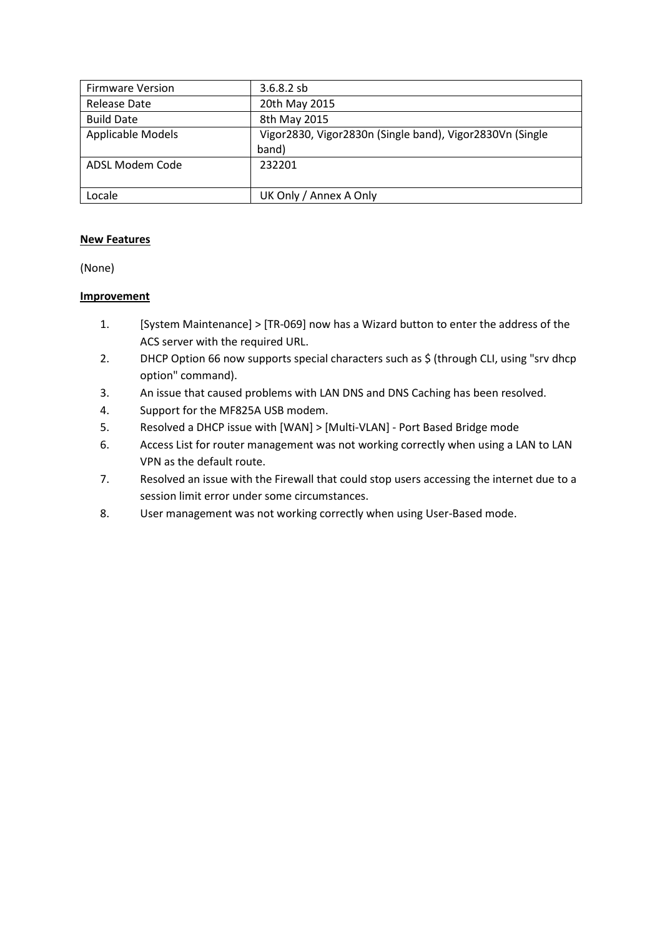| <b>Firmware Version</b> | $3.6.8.2$ sb                                             |
|-------------------------|----------------------------------------------------------|
| Release Date            | 20th May 2015                                            |
| <b>Build Date</b>       | 8th May 2015                                             |
| Applicable Models       | Vigor2830, Vigor2830n (Single band), Vigor2830Vn (Single |
|                         | band)                                                    |
| ADSL Modem Code         | 232201                                                   |
|                         |                                                          |
| Locale                  | UK Only / Annex A Only                                   |

(None)

- 1. [System Maintenance] > [TR-069] now has a Wizard button to enter the address of the ACS server with the required URL.
- 2. DHCP Option 66 now supports special characters such as \$ (through CLI, using "srv dhcp option" command).
- 3. An issue that caused problems with LAN DNS and DNS Caching has been resolved.
- 4. Support for the MF825A USB modem.
- 5. Resolved a DHCP issue with [WAN] > [Multi-VLAN] Port Based Bridge mode
- 6. Access List for router management was not working correctly when using a LAN to LAN VPN as the default route.
- 7. Resolved an issue with the Firewall that could stop users accessing the internet due to a session limit error under some circumstances.
- 8. User management was not working correctly when using User-Based mode.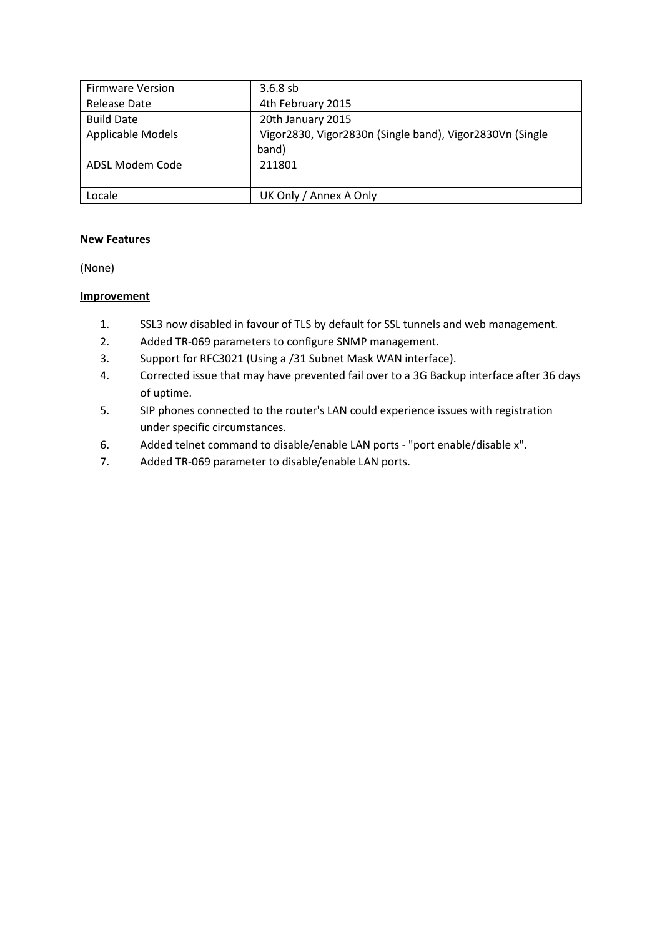| <b>Firmware Version</b> | $3.6.8$ sb                                               |
|-------------------------|----------------------------------------------------------|
| Release Date            | 4th February 2015                                        |
| <b>Build Date</b>       | 20th January 2015                                        |
| Applicable Models       | Vigor2830, Vigor2830n (Single band), Vigor2830Vn (Single |
|                         | band)                                                    |
| ADSL Modem Code         | 211801                                                   |
|                         |                                                          |
| Locale                  | UK Only / Annex A Only                                   |

(None)

- 1. SSL3 now disabled in favour of TLS by default for SSL tunnels and web management.
- 2. Added TR-069 parameters to configure SNMP management.
- 3. Support for RFC3021 (Using a /31 Subnet Mask WAN interface).
- 4. Corrected issue that may have prevented fail over to a 3G Backup interface after 36 days of uptime.
- 5. SIP phones connected to the router's LAN could experience issues with registration under specific circumstances.
- 6. Added telnet command to disable/enable LAN ports "port enable/disable x".
- 7. Added TR-069 parameter to disable/enable LAN ports.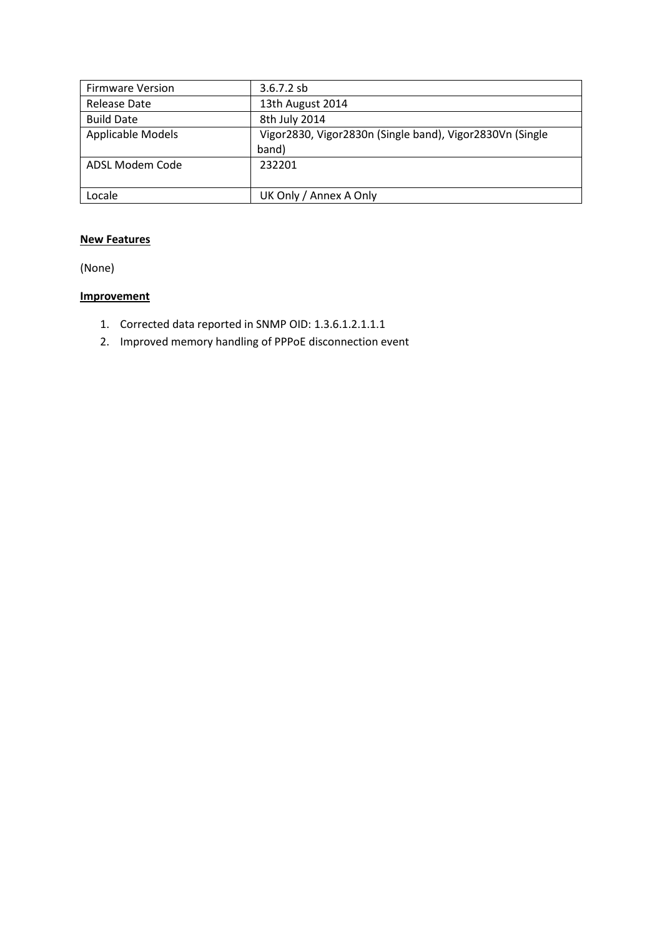| <b>Firmware Version</b> | $3.6.7.2$ sb                                             |
|-------------------------|----------------------------------------------------------|
| Release Date            | 13th August 2014                                         |
| <b>Build Date</b>       | 8th July 2014                                            |
| Applicable Models       | Vigor2830, Vigor2830n (Single band), Vigor2830Vn (Single |
|                         | band)                                                    |
| ADSL Modem Code         | 232201                                                   |
|                         |                                                          |
| Locale                  | UK Only / Annex A Only                                   |

(None)

- 1. Corrected data reported in SNMP OID: 1.3.6.1.2.1.1.1
- 2. Improved memory handling of PPPoE disconnection event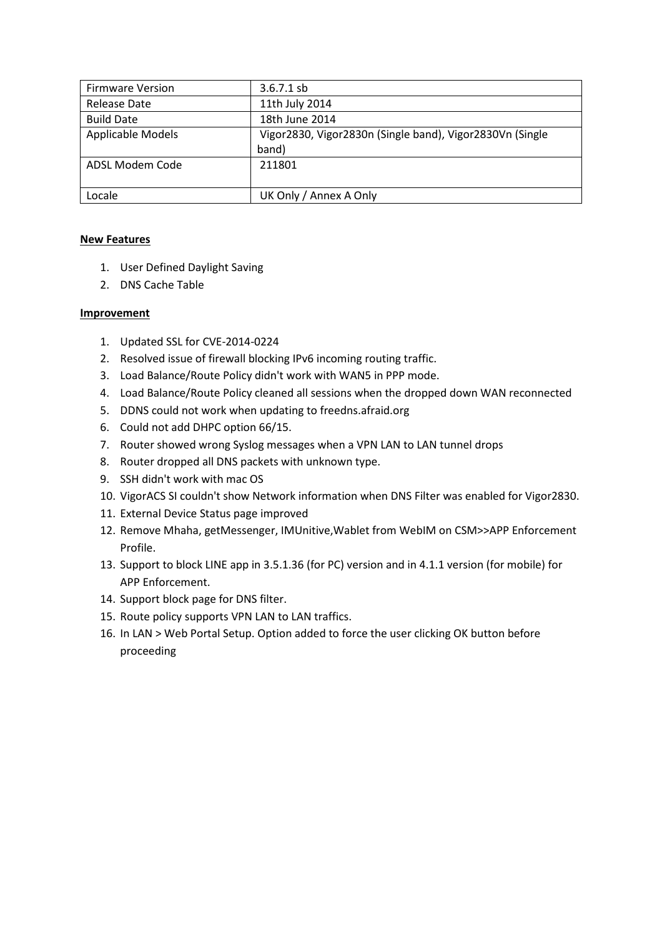| <b>Firmware Version</b> | $3.6.7.1$ sb                                             |
|-------------------------|----------------------------------------------------------|
| Release Date            | 11th July 2014                                           |
| <b>Build Date</b>       | 18th June 2014                                           |
| Applicable Models       | Vigor2830, Vigor2830n (Single band), Vigor2830Vn (Single |
|                         | band)                                                    |
| ADSL Modem Code         | 211801                                                   |
|                         |                                                          |
| Locale                  | UK Only / Annex A Only                                   |

- 1. User Defined Daylight Saving
- 2. DNS Cache Table

- 1. Updated SSL for CVE-2014-0224
- 2. Resolved issue of firewall blocking IPv6 incoming routing traffic.
- 3. Load Balance/Route Policy didn't work with WAN5 in PPP mode.
- 4. Load Balance/Route Policy cleaned all sessions when the dropped down WAN reconnected
- 5. DDNS could not work when updating to freedns.afraid.org
- 6. Could not add DHPC option 66/15.
- 7. Router showed wrong Syslog messages when a VPN LAN to LAN tunnel drops
- 8. Router dropped all DNS packets with unknown type.
- 9. SSH didn't work with mac OS
- 10. VigorACS SI couldn't show Network information when DNS Filter was enabled for Vigor2830.
- 11. External Device Status page improved
- 12. Remove Mhaha, getMessenger, IMUnitive,Wablet from WebIM on CSM>>APP Enforcement Profile.
- 13. Support to block LINE app in 3.5.1.36 (for PC) version and in 4.1.1 version (for mobile) for APP Enforcement.
- 14. Support block page for DNS filter.
- 15. Route policy supports VPN LAN to LAN traffics.
- 16. In LAN > Web Portal Setup. Option added to force the user clicking OK button before proceeding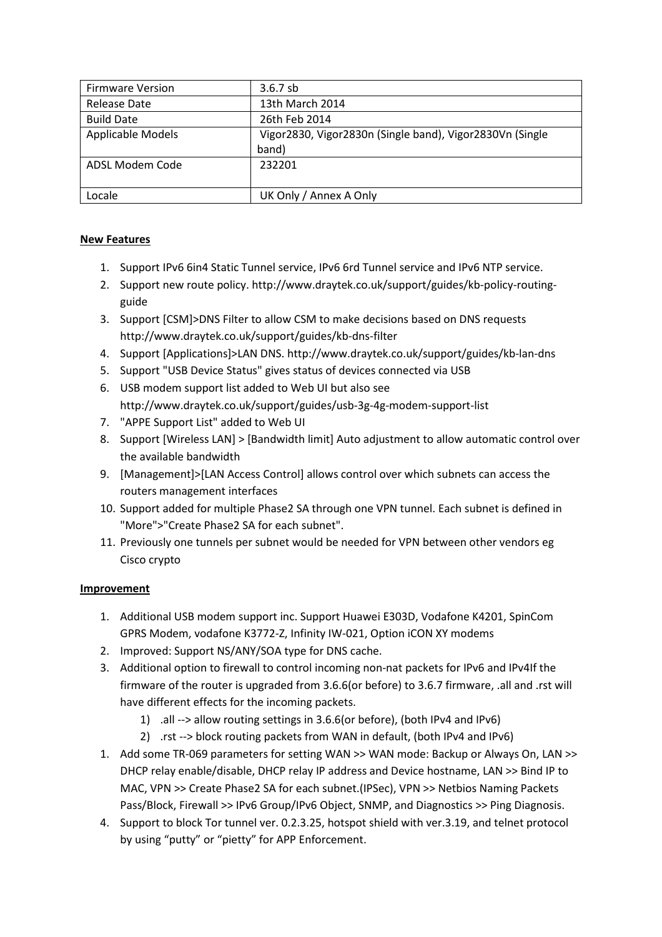| <b>Firmware Version</b> | $3.6.7$ sb                                               |
|-------------------------|----------------------------------------------------------|
| Release Date            | 13th March 2014                                          |
| <b>Build Date</b>       | 26th Feb 2014                                            |
| Applicable Models       | Vigor2830, Vigor2830n (Single band), Vigor2830Vn (Single |
|                         | band)                                                    |
| ADSL Modem Code         | 232201                                                   |
|                         |                                                          |
| Locale                  | UK Only / Annex A Only                                   |

- 1. Support IPv6 6in4 Static Tunnel service, IPv6 6rd Tunnel service and IPv6 NTP service.
- 2. Support new route policy. http://www.draytek.co.uk/support/guides/kb-policy-routingguide
- 3. Support [CSM]>DNS Filter to allow CSM to make decisions based on DNS requests http://www.draytek.co.uk/support/guides/kb-dns-filter
- 4. Support [Applications]>LAN DNS. http://www.draytek.co.uk/support/guides/kb-lan-dns
- 5. Support "USB Device Status" gives status of devices connected via USB
- 6. USB modem support list added to Web UI but also see http://www.draytek.co.uk/support/guides/usb-3g-4g-modem-support-list
- 7. "APPE Support List" added to Web UI
- 8. Support [Wireless LAN] > [Bandwidth limit] Auto adjustment to allow automatic control over the available bandwidth
- 9. [Management]>[LAN Access Control] allows control over which subnets can access the routers management interfaces
- 10. Support added for multiple Phase2 SA through one VPN tunnel. Each subnet is defined in "More">"Create Phase2 SA for each subnet".
- 11. Previously one tunnels per subnet would be needed for VPN between other vendors eg Cisco crypto

- 1. Additional USB modem support inc. Support Huawei E303D, Vodafone K4201, SpinCom GPRS Modem, vodafone K3772-Z, Infinity IW-021, Option iCON XY modems
- 2. Improved: Support NS/ANY/SOA type for DNS cache.
- 3. Additional option to firewall to control incoming non-nat packets for IPv6 and IPv4If the firmware of the router is upgraded from 3.6.6(or before) to 3.6.7 firmware, .all and .rst will have different effects for the incoming packets.
	- 1) .all --> allow routing settings in 3.6.6(or before), (both IPv4 and IPv6)
	- 2) .rst --> block routing packets from WAN in default, (both IPv4 and IPv6)
- 1. Add some TR-069 parameters for setting WAN >> WAN mode: Backup or Always On, LAN >> DHCP relay enable/disable, DHCP relay IP address and Device hostname, LAN >> Bind IP to MAC, VPN >> Create Phase2 SA for each subnet.(IPSec), VPN >> Netbios Naming Packets Pass/Block, Firewall >> IPv6 Group/IPv6 Object, SNMP, and Diagnostics >> Ping Diagnosis.
- 4. Support to block Tor tunnel ver. 0.2.3.25, hotspot shield with ver.3.19, and telnet protocol by using "putty" or "pietty" for APP Enforcement.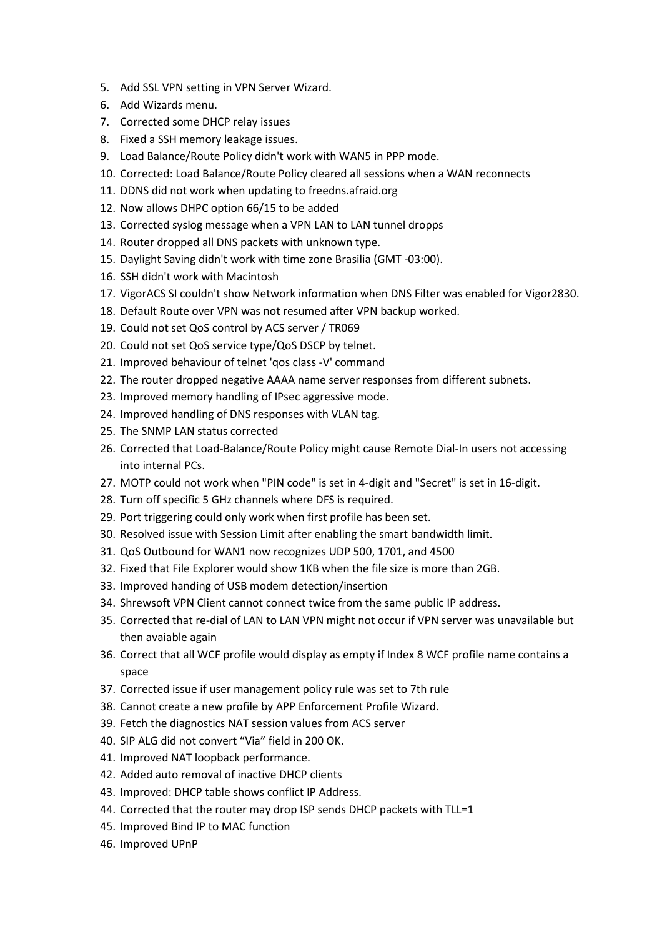- 5. Add SSL VPN setting in VPN Server Wizard.
- 6. Add Wizards menu.
- 7. Corrected some DHCP relay issues
- 8. Fixed a SSH memory leakage issues.
- 9. Load Balance/Route Policy didn't work with WAN5 in PPP mode.
- 10. Corrected: Load Balance/Route Policy cleared all sessions when a WAN reconnects
- 11. DDNS did not work when updating to freedns.afraid.org
- 12. Now allows DHPC option 66/15 to be added
- 13. Corrected syslog message when a VPN LAN to LAN tunnel dropps
- 14. Router dropped all DNS packets with unknown type.
- 15. Daylight Saving didn't work with time zone Brasilia (GMT -03:00).
- 16. SSH didn't work with Macintosh
- 17. VigorACS SI couldn't show Network information when DNS Filter was enabled for Vigor2830.
- 18. Default Route over VPN was not resumed after VPN backup worked.
- 19. Could not set QoS control by ACS server / TR069
- 20. Could not set QoS service type/QoS DSCP by telnet.
- 21. Improved behaviour of telnet 'qos class -V' command
- 22. The router dropped negative AAAA name server responses from different subnets.
- 23. Improved memory handling of IPsec aggressive mode.
- 24. Improved handling of DNS responses with VLAN tag.
- 25. The SNMP LAN status corrected
- 26. Corrected that Load-Balance/Route Policy might cause Remote Dial-In users not accessing into internal PCs.
- 27. MOTP could not work when "PIN code" is set in 4-digit and "Secret" is set in 16-digit.
- 28. Turn off specific 5 GHz channels where DFS is required.
- 29. Port triggering could only work when first profile has been set.
- 30. Resolved issue with Session Limit after enabling the smart bandwidth limit.
- 31. QoS Outbound for WAN1 now recognizes UDP 500, 1701, and 4500
- 32. Fixed that File Explorer would show 1KB when the file size is more than 2GB.
- 33. Improved handing of USB modem detection/insertion
- 34. Shrewsoft VPN Client cannot connect twice from the same public IP address.
- 35. Corrected that re-dial of LAN to LAN VPN might not occur if VPN server was unavailable but then avaiable again
- 36. Correct that all WCF profile would display as empty if Index 8 WCF profile name contains a space
- 37. Corrected issue if user management policy rule was set to 7th rule
- 38. Cannot create a new profile by APP Enforcement Profile Wizard.
- 39. Fetch the diagnostics NAT session values from ACS server
- 40. SIP ALG did not convert "Via" field in 200 OK.
- 41. Improved NAT loopback performance.
- 42. Added auto removal of inactive DHCP clients
- 43. Improved: DHCP table shows conflict IP Address.
- 44. Corrected that the router may drop ISP sends DHCP packets with TLL=1
- 45. Improved Bind IP to MAC function
- 46. Improved UPnP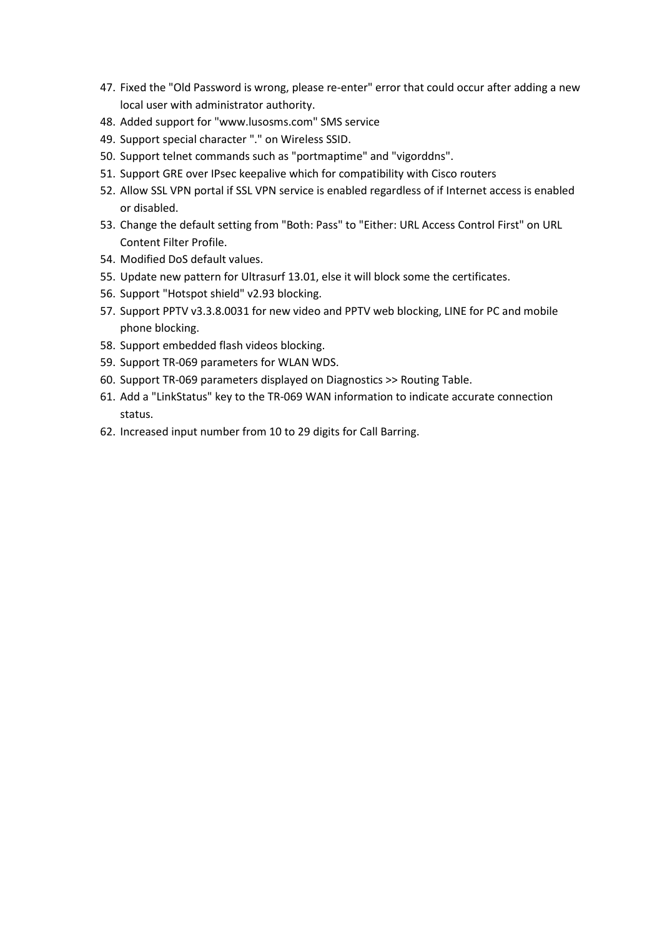- 47. Fixed the "Old Password is wrong, please re-enter" error that could occur after adding a new local user with administrator authority.
- 48. Added support for "www.lusosms.com" SMS service
- 49. Support special character "." on Wireless SSID.
- 50. Support telnet commands such as "portmaptime" and "vigorddns".
- 51. Support GRE over IPsec keepalive which for compatibility with Cisco routers
- 52. Allow SSL VPN portal if SSL VPN service is enabled regardless of if Internet access is enabled or disabled.
- 53. Change the default setting from "Both: Pass" to "Either: URL Access Control First" on URL Content Filter Profile.
- 54. Modified DoS default values.
- 55. Update new pattern for Ultrasurf 13.01, else it will block some the certificates.
- 56. Support "Hotspot shield" v2.93 blocking.
- 57. Support PPTV v3.3.8.0031 for new video and PPTV web blocking, LINE for PC and mobile phone blocking.
- 58. Support embedded flash videos blocking.
- 59. Support TR-069 parameters for WLAN WDS.
- 60. Support TR-069 parameters displayed on Diagnostics >> Routing Table.
- 61. Add a "LinkStatus" key to the TR-069 WAN information to indicate accurate connection status.
- 62. Increased input number from 10 to 29 digits for Call Barring.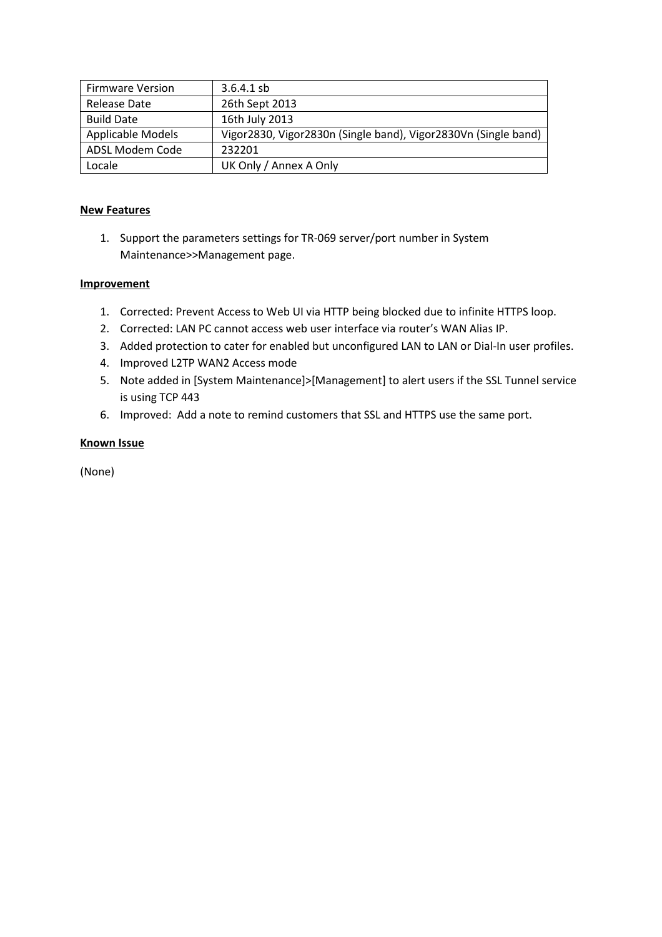| <b>Firmware Version</b>  | $3.6.4.1$ sb                                                   |
|--------------------------|----------------------------------------------------------------|
| Release Date             | 26th Sept 2013                                                 |
| <b>Build Date</b>        | 16th July 2013                                                 |
| <b>Applicable Models</b> | Vigor2830, Vigor2830n (Single band), Vigor2830Vn (Single band) |
| ADSL Modem Code          | 232201                                                         |
| Locale                   | UK Only / Annex A Only                                         |

1. Support the parameters settings for TR-069 server/port number in System Maintenance>>Management page.

#### **Improvement**

- 1. Corrected: Prevent Access to Web UI via HTTP being blocked due to infinite HTTPS loop.
- 2. Corrected: LAN PC cannot access web user interface via router's WAN Alias IP.
- 3. Added protection to cater for enabled but unconfigured LAN to LAN or Dial-In user profiles.
- 4. Improved L2TP WAN2 Access mode
- 5. Note added in [System Maintenance]>[Management] to alert users if the SSL Tunnel service is using TCP 443
- 6. Improved: Add a note to remind customers that SSL and HTTPS use the same port.

#### **Known Issue**

(None)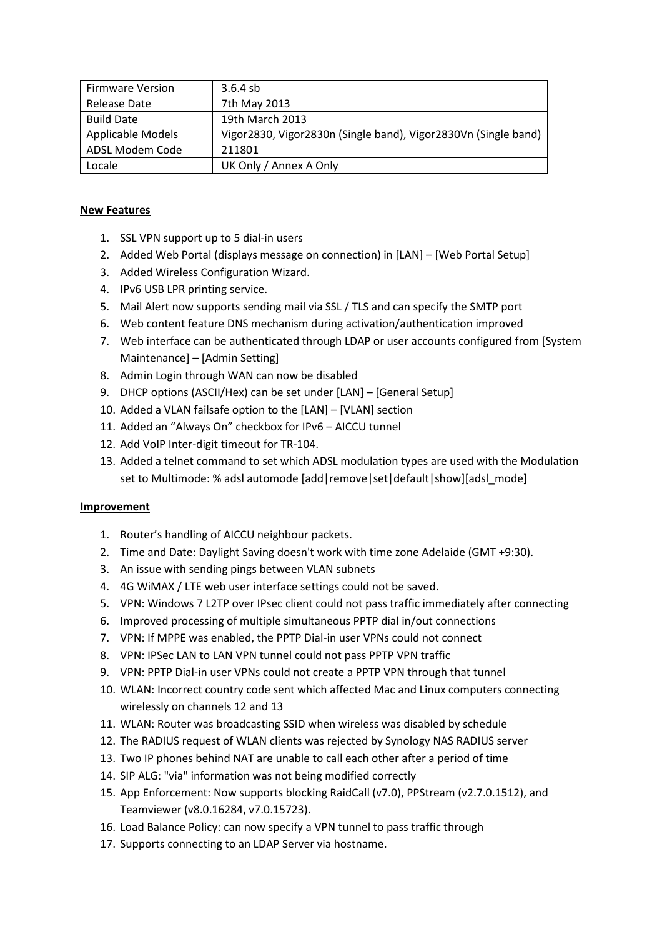| <b>Firmware Version</b>  | $3.6.4$ sb                                                     |
|--------------------------|----------------------------------------------------------------|
| Release Date             | 7th May 2013                                                   |
| <b>Build Date</b>        | 19th March 2013                                                |
| <b>Applicable Models</b> | Vigor2830, Vigor2830n (Single band), Vigor2830Vn (Single band) |
| ADSL Modem Code          | 211801                                                         |
| Locale                   | UK Only / Annex A Only                                         |

- 1. SSL VPN support up to 5 dial-in users
- 2. Added Web Portal (displays message on connection) in [LAN] [Web Portal Setup]
- 3. Added Wireless Configuration Wizard.
- 4. IPv6 USB LPR printing service.
- 5. Mail Alert now supports sending mail via SSL / TLS and can specify the SMTP port
- 6. Web content feature DNS mechanism during activation/authentication improved
- 7. Web interface can be authenticated through LDAP or user accounts configured from [System Maintenance] – [Admin Setting]
- 8. Admin Login through WAN can now be disabled
- 9. DHCP options (ASCII/Hex) can be set under [LAN] [General Setup]
- 10. Added a VLAN failsafe option to the [LAN] [VLAN] section
- 11. Added an "Always On" checkbox for IPv6 AICCU tunnel
- 12. Add VoIP Inter-digit timeout for TR-104.
- 13. Added a telnet command to set which ADSL modulation types are used with the Modulation set to Multimode: % adsl automode [add|remove|set|default|show][adsl\_mode]

- 1. Router's handling of AICCU neighbour packets.
- 2. Time and Date: Daylight Saving doesn't work with time zone Adelaide (GMT +9:30).
- 3. An issue with sending pings between VLAN subnets
- 4. 4G WiMAX / LTE web user interface settings could not be saved.
- 5. VPN: Windows 7 L2TP over IPsec client could not pass traffic immediately after connecting
- 6. Improved processing of multiple simultaneous PPTP dial in/out connections
- 7. VPN: If MPPE was enabled, the PPTP Dial-in user VPNs could not connect
- 8. VPN: IPSec LAN to LAN VPN tunnel could not pass PPTP VPN traffic
- 9. VPN: PPTP Dial-in user VPNs could not create a PPTP VPN through that tunnel
- 10. WLAN: Incorrect country code sent which affected Mac and Linux computers connecting wirelessly on channels 12 and 13
- 11. WLAN: Router was broadcasting SSID when wireless was disabled by schedule
- 12. The RADIUS request of WLAN clients was rejected by Synology NAS RADIUS server
- 13. Two IP phones behind NAT are unable to call each other after a period of time
- 14. SIP ALG: "via" information was not being modified correctly
- 15. App Enforcement: Now supports blocking RaidCall (v7.0), PPStream (v2.7.0.1512), and Teamviewer (v8.0.16284, v7.0.15723).
- 16. Load Balance Policy: can now specify a VPN tunnel to pass traffic through
- 17. Supports connecting to an LDAP Server via hostname.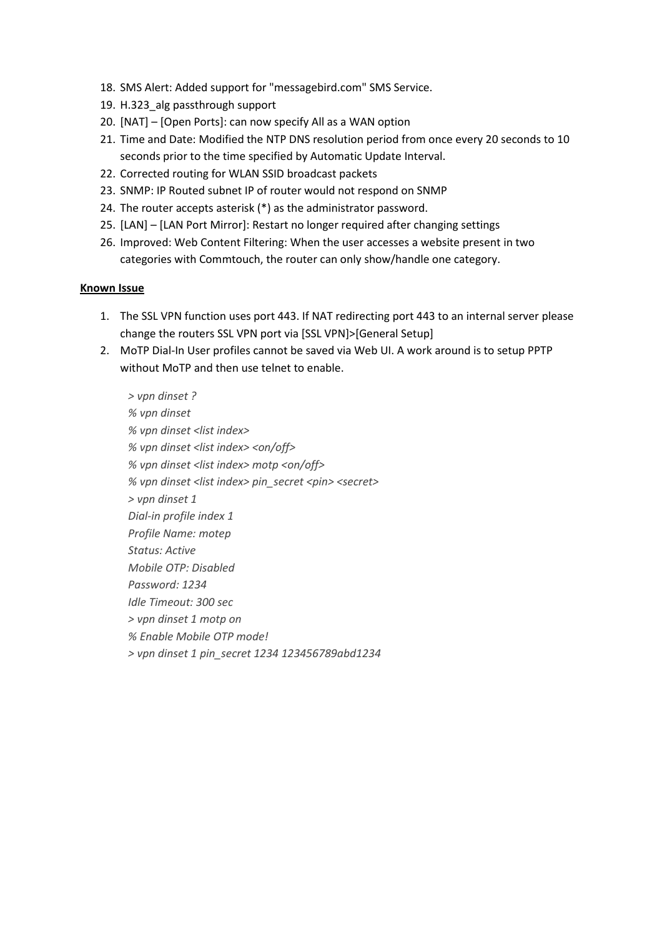- 18. SMS Alert: Added support for "messagebird.com" SMS Service.
- 19. H.323\_alg passthrough support
- 20. [NAT] [Open Ports]: can now specify All as a WAN option
- 21. Time and Date: Modified the NTP DNS resolution period from once every 20 seconds to 10 seconds prior to the time specified by Automatic Update Interval.
- 22. Corrected routing for WLAN SSID broadcast packets
- 23. SNMP: IP Routed subnet IP of router would not respond on SNMP
- 24. The router accepts asterisk (\*) as the administrator password.
- 25. [LAN] [LAN Port Mirror]: Restart no longer required after changing settings
- 26. Improved: Web Content Filtering: When the user accesses a website present in two categories with Commtouch, the router can only show/handle one category.

#### **Known Issue**

- 1. The SSL VPN function uses port 443. If NAT redirecting port 443 to an internal server please change the routers SSL VPN port via [SSL VPN]>[General Setup]
- 2. MoTP Dial-In User profiles cannot be saved via Web UI. A work around is to setup PPTP without MoTP and then use telnet to enable.

*> vpn dinset ? % vpn dinset % vpn dinset <list index> % vpn dinset <list index> <on/off> % vpn dinset <list index> motp <on/off> % vpn dinset <list index> pin\_secret <pin> <secret> > vpn dinset 1 Dial-in profile index 1 Profile Name: motep Status: Active Mobile OTP: Disabled Password: 1234 Idle Timeout: 300 sec > vpn dinset 1 motp on % Enable Mobile OTP mode! > vpn dinset 1 pin\_secret 1234 123456789abd1234*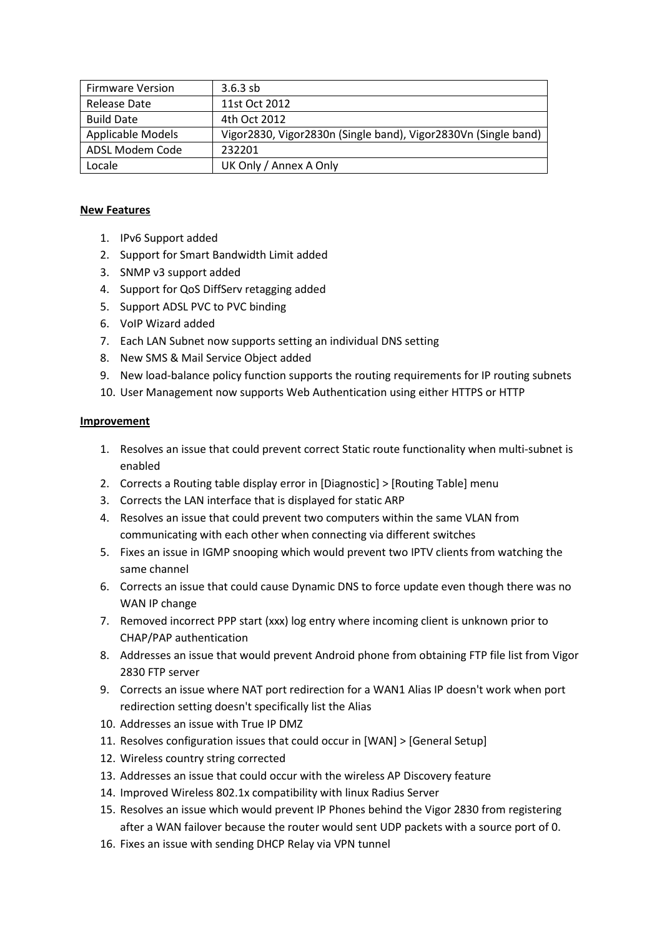| <b>Firmware Version</b>  | $3.6.3$ sb                                                     |
|--------------------------|----------------------------------------------------------------|
| Release Date             | 11st Oct 2012                                                  |
| <b>Build Date</b>        | 4th Oct 2012                                                   |
| <b>Applicable Models</b> | Vigor2830, Vigor2830n (Single band), Vigor2830Vn (Single band) |
| ADSL Modem Code          | 232201                                                         |
| Locale                   | UK Only / Annex A Only                                         |

- 1. IPv6 Support added
- 2. Support for Smart Bandwidth Limit added
- 3. SNMP v3 support added
- 4. Support for QoS DiffServ retagging added
- 5. Support ADSL PVC to PVC binding
- 6. VoIP Wizard added
- 7. Each LAN Subnet now supports setting an individual DNS setting
- 8. New SMS & Mail Service Object added
- 9. New load-balance policy function supports the routing requirements for IP routing subnets
- 10. User Management now supports Web Authentication using either HTTPS or HTTP

- 1. Resolves an issue that could prevent correct Static route functionality when multi-subnet is enabled
- 2. Corrects a Routing table display error in [Diagnostic] > [Routing Table] menu
- 3. Corrects the LAN interface that is displayed for static ARP
- 4. Resolves an issue that could prevent two computers within the same VLAN from communicating with each other when connecting via different switches
- 5. Fixes an issue in IGMP snooping which would prevent two IPTV clients from watching the same channel
- 6. Corrects an issue that could cause Dynamic DNS to force update even though there was no WAN IP change
- 7. Removed incorrect PPP start (xxx) log entry where incoming client is unknown prior to CHAP/PAP authentication
- 8. Addresses an issue that would prevent Android phone from obtaining FTP file list from Vigor 2830 FTP server
- 9. Corrects an issue where NAT port redirection for a WAN1 Alias IP doesn't work when port redirection setting doesn't specifically list the Alias
- 10. Addresses an issue with True IP DMZ
- 11. Resolves configuration issues that could occur in [WAN] > [General Setup]
- 12. Wireless country string corrected
- 13. Addresses an issue that could occur with the wireless AP Discovery feature
- 14. Improved Wireless 802.1x compatibility with linux Radius Server
- 15. Resolves an issue which would prevent IP Phones behind the Vigor 2830 from registering after a WAN failover because the router would sent UDP packets with a source port of 0.
- 16. Fixes an issue with sending DHCP Relay via VPN tunnel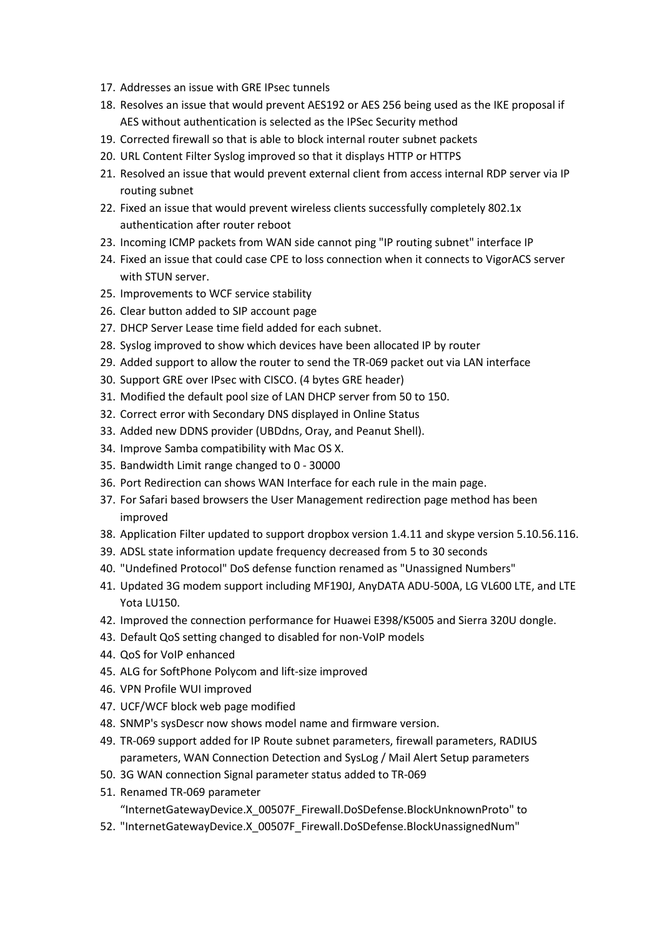- 17. Addresses an issue with GRE IPsec tunnels
- 18. Resolves an issue that would prevent AES192 or AES 256 being used as the IKE proposal if AES without authentication is selected as the IPSec Security method
- 19. Corrected firewall so that is able to block internal router subnet packets
- 20. URL Content Filter Syslog improved so that it displays HTTP or HTTPS
- 21. Resolved an issue that would prevent external client from access internal RDP server via IP routing subnet
- 22. Fixed an issue that would prevent wireless clients successfully completely 802.1x authentication after router reboot
- 23. Incoming ICMP packets from WAN side cannot ping "IP routing subnet" interface IP
- 24. Fixed an issue that could case CPE to loss connection when it connects to VigorACS server with STUN server.
- 25. Improvements to WCF service stability
- 26. Clear button added to SIP account page
- 27. DHCP Server Lease time field added for each subnet.
- 28. Syslog improved to show which devices have been allocated IP by router
- 29. Added support to allow the router to send the TR-069 packet out via LAN interface
- 30. Support GRE over IPsec with CISCO. (4 bytes GRE header)
- 31. Modified the default pool size of LAN DHCP server from 50 to 150.
- 32. Correct error with Secondary DNS displayed in Online Status
- 33. Added new DDNS provider (UBDdns, Oray, and Peanut Shell).
- 34. Improve Samba compatibility with Mac OS X.
- 35. Bandwidth Limit range changed to 0 30000
- 36. Port Redirection can shows WAN Interface for each rule in the main page.
- 37. For Safari based browsers the User Management redirection page method has been improved
- 38. Application Filter updated to support dropbox version 1.4.11 and skype version 5.10.56.116.
- 39. ADSL state information update frequency decreased from 5 to 30 seconds
- 40. "Undefined Protocol" DoS defense function renamed as "Unassigned Numbers"
- 41. Updated 3G modem support including MF190J, AnyDATA ADU-500A, LG VL600 LTE, and LTE Yota LU150.
- 42. Improved the connection performance for Huawei E398/K5005 and Sierra 320U dongle.
- 43. Default QoS setting changed to disabled for non-VoIP models
- 44. QoS for VoIP enhanced
- 45. ALG for SoftPhone Polycom and lift-size improved
- 46. VPN Profile WUI improved
- 47. UCF/WCF block web page modified
- 48. SNMP's sysDescr now shows model name and firmware version.
- 49. TR-069 support added for IP Route subnet parameters, firewall parameters, RADIUS parameters, WAN Connection Detection and SysLog / Mail Alert Setup parameters
- 50. 3G WAN connection Signal parameter status added to TR-069
- 51. Renamed TR-069 parameter

"InternetGatewayDevice.X\_00507F\_Firewall.DoSDefense.BlockUnknownProto" to

52. "InternetGatewayDevice.X\_00507F\_Firewall.DoSDefense.BlockUnassignedNum"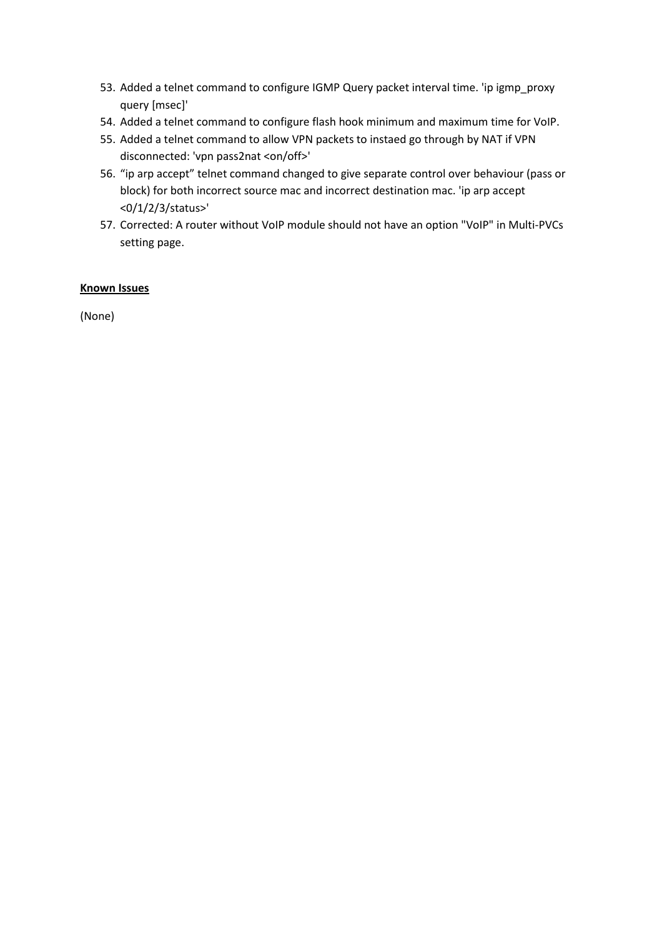- 53. Added a telnet command to configure IGMP Query packet interval time. 'ip igmp\_proxy query [msec]'
- 54. Added a telnet command to configure flash hook minimum and maximum time for VoIP.
- 55. Added a telnet command to allow VPN packets to instaed go through by NAT if VPN disconnected: 'vpn pass2nat <on/off>'
- 56. "ip arp accept" telnet command changed to give separate control over behaviour (pass or block) for both incorrect source mac and incorrect destination mac. 'ip arp accept <0/1/2/3/status>'
- 57. Corrected: A router without VoIP module should not have an option "VoIP" in Multi-PVCs setting page.

#### **Known Issues**

(None)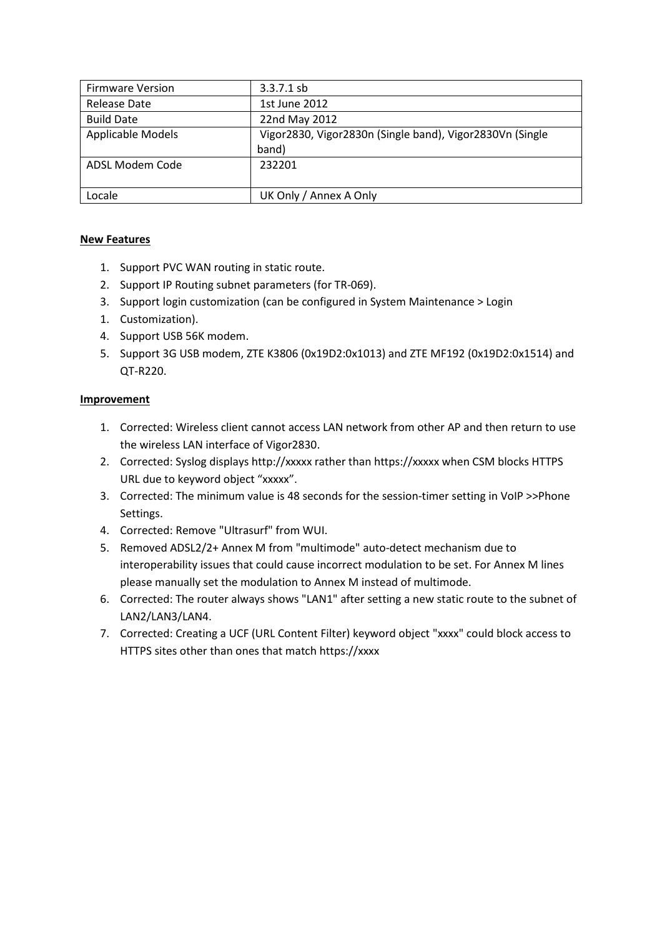| <b>Firmware Version</b> | $3.3.7.1$ sb                                             |
|-------------------------|----------------------------------------------------------|
| Release Date            | 1st June 2012                                            |
| <b>Build Date</b>       | 22nd May 2012                                            |
| Applicable Models       | Vigor2830, Vigor2830n (Single band), Vigor2830Vn (Single |
|                         | band)                                                    |
| ADSL Modem Code         | 232201                                                   |
|                         |                                                          |
| Locale                  | UK Only / Annex A Only                                   |

- 1. Support PVC WAN routing in static route.
- 2. Support IP Routing subnet parameters (for TR-069).
- 3. Support login customization (can be configured in System Maintenance > Login
- 1. Customization).
- 4. Support USB 56K modem.
- 5. Support 3G USB modem, ZTE K3806 (0x19D2:0x1013) and ZTE MF192 (0x19D2:0x1514) and QT-R220.

- 1. Corrected: Wireless client cannot access LAN network from other AP and then return to use the wireless LAN interface of Vigor2830.
- 2. Corrected: Syslog displays http://xxxxx rather than https://xxxxx when CSM blocks HTTPS URL due to keyword object "xxxxx".
- 3. Corrected: The minimum value is 48 seconds for the session-timer setting in VoIP >>Phone Settings.
- 4. Corrected: Remove "Ultrasurf" from WUI.
- 5. Removed ADSL2/2+ Annex M from "multimode" auto-detect mechanism due to interoperability issues that could cause incorrect modulation to be set. For Annex M lines please manually set the modulation to Annex M instead of multimode.
- 6. Corrected: The router always shows "LAN1" after setting a new static route to the subnet of LAN2/LAN3/LAN4.
- 7. Corrected: Creating a UCF (URL Content Filter) keyword object "xxxx" could block access to HTTPS sites other than ones that match https://xxxx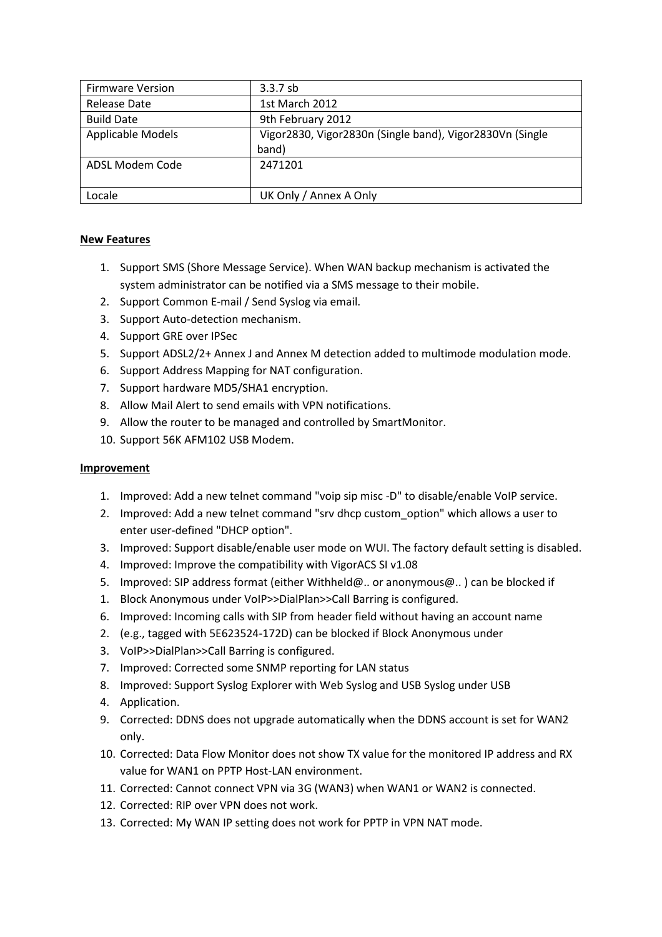| <b>Firmware Version</b> | $3.3.7$ sb                                               |
|-------------------------|----------------------------------------------------------|
| Release Date            | 1st March 2012                                           |
| <b>Build Date</b>       | 9th February 2012                                        |
| Applicable Models       | Vigor2830, Vigor2830n (Single band), Vigor2830Vn (Single |
|                         | band)                                                    |
| ADSL Modem Code         | 2471201                                                  |
|                         |                                                          |
| Locale                  | UK Only / Annex A Only                                   |

- 1. Support SMS (Shore Message Service). When WAN backup mechanism is activated the system administrator can be notified via a SMS message to their mobile.
- 2. Support Common E-mail / Send Syslog via email.
- 3. Support Auto-detection mechanism.
- 4. Support GRE over IPSec
- 5. Support ADSL2/2+ Annex J and Annex M detection added to multimode modulation mode.
- 6. Support Address Mapping for NAT configuration.
- 7. Support hardware MD5/SHA1 encryption.
- 8. Allow Mail Alert to send emails with VPN notifications.
- 9. Allow the router to be managed and controlled by SmartMonitor.
- 10. Support 56K AFM102 USB Modem.

- 1. Improved: Add a new telnet command "voip sip misc -D" to disable/enable VoIP service.
- 2. Improved: Add a new telnet command "srv dhcp custom\_option" which allows a user to enter user-defined "DHCP option".
- 3. Improved: Support disable/enable user mode on WUI. The factory default setting is disabled.
- 4. Improved: Improve the compatibility with VigorACS SI v1.08
- 5. Improved: SIP address format (either Withheld@.. or anonymous@.. ) can be blocked if
- 1. Block Anonymous under VoIP>>DialPlan>>Call Barring is configured.
- 6. Improved: Incoming calls with SIP from header field without having an account name
- 2. (e.g., tagged with 5E623524-172D) can be blocked if Block Anonymous under
- 3. VoIP>>DialPlan>>Call Barring is configured.
- 7. Improved: Corrected some SNMP reporting for LAN status
- 8. Improved: Support Syslog Explorer with Web Syslog and USB Syslog under USB
- 4. Application.
- 9. Corrected: DDNS does not upgrade automatically when the DDNS account is set for WAN2 only.
- 10. Corrected: Data Flow Monitor does not show TX value for the monitored IP address and RX value for WAN1 on PPTP Host-LAN environment.
- 11. Corrected: Cannot connect VPN via 3G (WAN3) when WAN1 or WAN2 is connected.
- 12. Corrected: RIP over VPN does not work.
- 13. Corrected: My WAN IP setting does not work for PPTP in VPN NAT mode.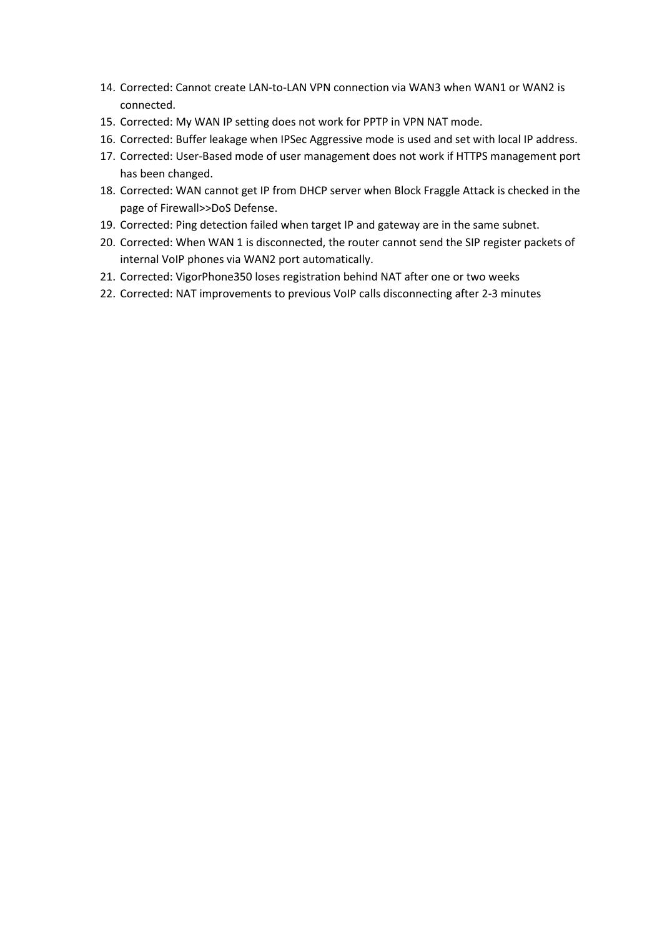- 14. Corrected: Cannot create LAN-to-LAN VPN connection via WAN3 when WAN1 or WAN2 is connected.
- 15. Corrected: My WAN IP setting does not work for PPTP in VPN NAT mode.
- 16. Corrected: Buffer leakage when IPSec Aggressive mode is used and set with local IP address.
- 17. Corrected: User-Based mode of user management does not work if HTTPS management port has been changed.
- 18. Corrected: WAN cannot get IP from DHCP server when Block Fraggle Attack is checked in the page of Firewall>>DoS Defense.
- 19. Corrected: Ping detection failed when target IP and gateway are in the same subnet.
- 20. Corrected: When WAN 1 is disconnected, the router cannot send the SIP register packets of internal VoIP phones via WAN2 port automatically.
- 21. Corrected: VigorPhone350 loses registration behind NAT after one or two weeks
- 22. Corrected: NAT improvements to previous VoIP calls disconnecting after 2-3 minutes